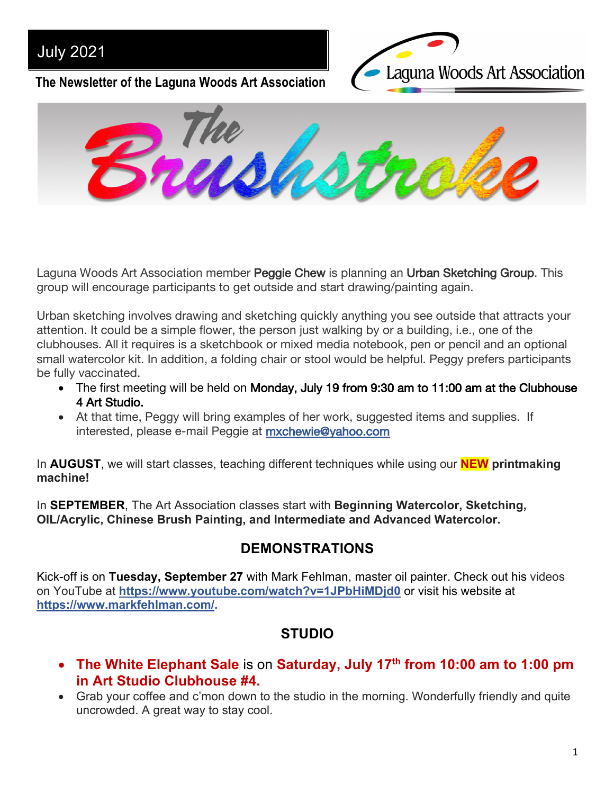## July 2021

Laguna Woods Art Association

**The Newsletter of the Laguna Woods Art Association**



Laguna Woods Art Association member Peggie Chew is planning an Urban Sketching Group. This group will encourage participants to get outside and start drawing/painting again.

Urban sketching involves drawing and sketching quickly anything you see outside that attracts your attention. It could be a simple flower, the person just walking by or a building, i.e., one of the clubhouses. All it requires is a sketchbook or mixed media notebook, pen or pencil and an optional small watercolor kit. In addition, a folding chair or stool would be helpful. Peggy prefers participants be fully vaccinated.

- The first meeting will be held on Monday, July 19 from 9:30 am to 11:00 am at the Clubhouse 4 Art Studio.
- At that time, Peggy will bring examples of her work, suggested items and supplies. If interested, please e-mail Peggie at mxchewie@yahoo.com

In **AUGUST**, we will start classes, teaching different techniques while using our **NEW printmaking machine!**

In **SEPTEMBER**, The Art Association classes start with **Beginning Watercolor, Sketching, OIL/Acrylic, Chinese Brush Painting, and Intermediate and Advanced Watercolor.**

## **DEMONSTRATIONS**

Kick-off is on **Tuesday, September 27** with Mark Fehlman, master oil painter. Check out his videos on YouTube at **https://www.youtube.com/watch?v=1JPbHiMDjd0** or visit his website at **https://www.markfehlman.com/.**

## **STUDIO**

- **The White Elephant Sale** is on **Saturday, July 17th from 10:00 am to 1:00 pm in Art Studio Clubhouse #4.**
- Grab your coffee and c'mon down to the studio in the morning. Wonderfully friendly and quite uncrowded. A great way to stay cool.